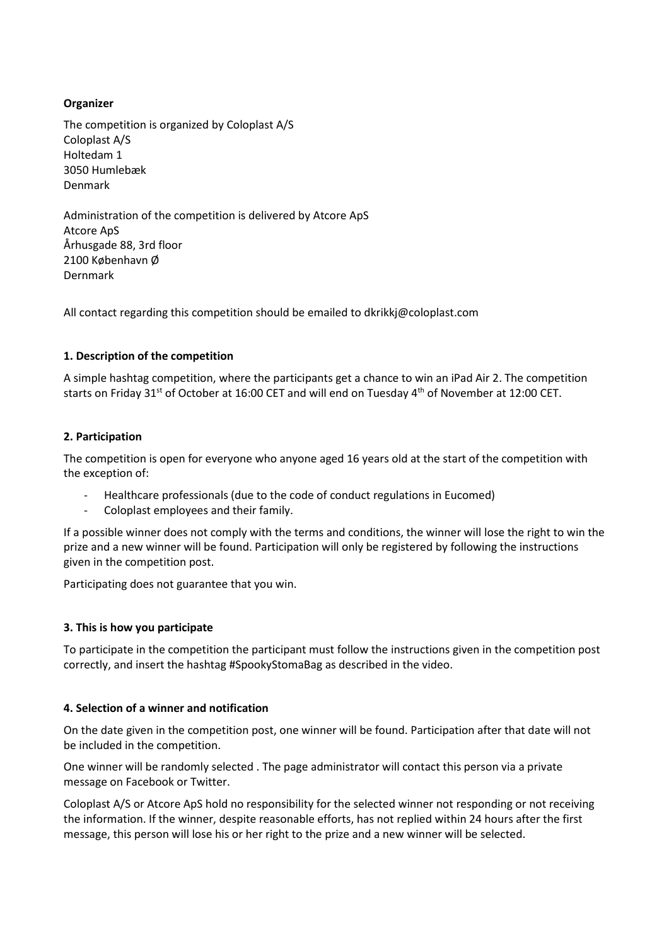# **Organizer**

The competition is organized by Coloplast A/S Coloplast A/S Holtedam 1 3050 Humlebæk Denmark

Administration of the competition is delivered by Atcore ApS Atcore ApS Århusgade 88, 3rd floor 2100 København Ø Dernmark

All contact regarding this competition should be emailed to dkrikkj@coloplast.com

## **1. Description of the competition**

A simple hashtag competition, where the participants get a chance to win an iPad Air 2. The competition starts on Friday 31<sup>st</sup> of October at 16:00 CET and will end on Tuesday 4<sup>th</sup> of November at 12:00 CET.

## **2. Participation**

The competition is open for everyone who anyone aged 16 years old at the start of the competition with the exception of:

- Healthcare professionals (due to the code of conduct regulations in Eucomed)
- Coloplast employees and their family.

If a possible winner does not comply with the terms and conditions, the winner will lose the right to win the prize and a new winner will be found. Participation will only be registered by following the instructions given in the competition post.

Participating does not guarantee that you win.

### **3. This is how you participate**

To participate in the competition the participant must follow the instructions given in the competition post correctly, and insert the hashtag #SpookyStomaBag as described in the video.

### **4. Selection of a winner and notification**

On the date given in the competition post, one winner will be found. Participation after that date will not be included in the competition.

One winner will be randomly selected . The page administrator will contact this person via a private message on Facebook or Twitter.

Coloplast A/S or Atcore ApS hold no responsibility for the selected winner not responding or not receiving the information. If the winner, despite reasonable efforts, has not replied within 24 hours after the first message, this person will lose his or her right to the prize and a new winner will be selected.